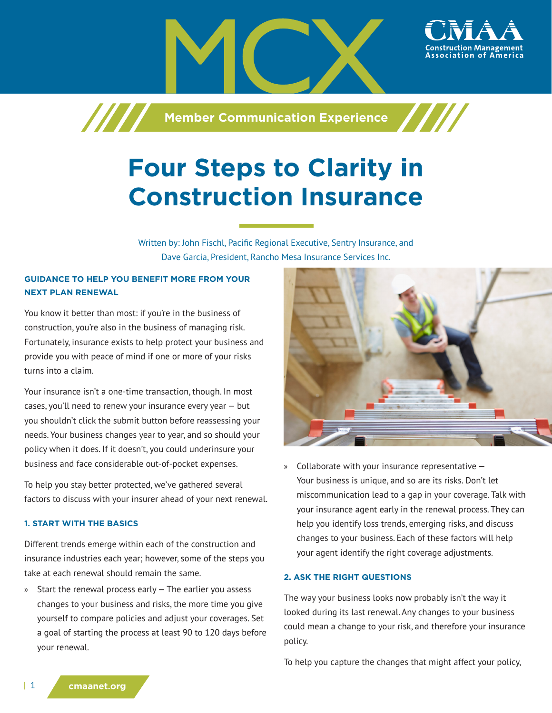

# **Four Steps to Clarity in Construction Insurance**

Written by: John Fischl, Pacific Regional Executive, Sentry Insurance, and Dave Garcia, President, Rancho Mesa Insurance Services Inc.

# **GUIDANCE TO HELP YOU BENEFIT MORE FROM YOUR NEXT PLAN RENEWAL**

You know it better than most: if you're in the business of construction, you're also in the business of managing risk. Fortunately, insurance exists to help protect your business and provide you with peace of mind if one or more of your risks turns into a claim.

Your insurance isn't a one-time transaction, though. In most cases, you'll need to renew your insurance every year — but you shouldn't click the submit button before reassessing your needs. Your business changes year to year, and so should your policy when it does. If it doesn't, you could underinsure your business and face considerable out-of-pocket expenses.

To help you stay better protected, we've gathered several factors to discuss with your insurer ahead of your next renewal.

#### **1. START WITH THE BASICS**

Different trends emerge within each of the construction and insurance industries each year; however, some of the steps you take at each renewal should remain the same.

» Start the renewal process early — The earlier you assess changes to your business and risks, the more time you give yourself to compare policies and adjust your coverages. Set a goal of starting the process at least 90 to 120 days before your renewal.



» Collaborate with your insurance representative — Your business is unique, and so are its risks. Don't let miscommunication lead to a gap in your coverage. Talk with your insurance agent early in the renewal process. They can help you identify loss trends, emerging risks, and discuss changes to your business. Each of these factors will help your agent identify the right coverage adjustments.

#### **2. ASK THE RIGHT QUESTIONS**

The way your business looks now probably isn't the way it looked during its last renewal. Any changes to your business could mean a change to your risk, and therefore your insurance policy.

To help you capture the changes that might affect your policy,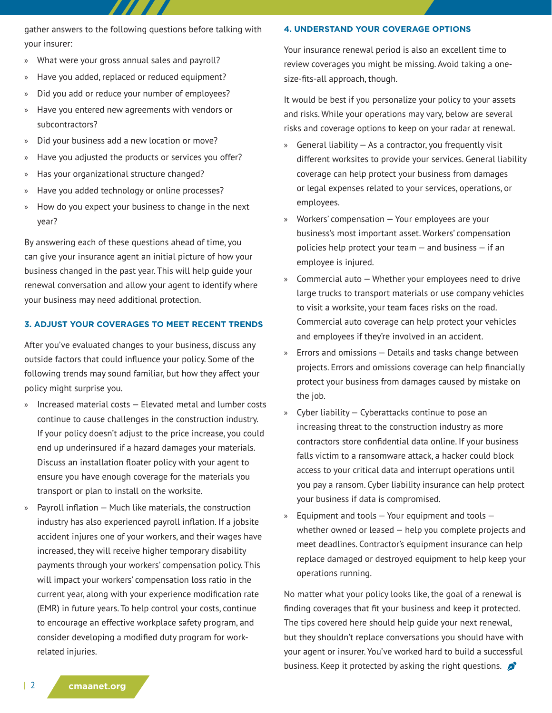gather answers to the following questions before talking with your insurer:

- » What were your gross annual sales and payroll?
- » Have you added, replaced or reduced equipment?
- » Did you add or reduce your number of employees?
- » Have you entered new agreements with vendors or subcontractors?
- » Did your business add a new location or move?
- » Have you adjusted the products or services you offer?
- » Has your organizational structure changed?
- » Have you added technology or online processes?
- » How do you expect your business to change in the next year?

By answering each of these questions ahead of time, you can give your insurance agent an initial picture of how your business changed in the past year. This will help guide your renewal conversation and allow your agent to identify where your business may need additional protection.

#### **3. ADJUST YOUR COVERAGES TO MEET RECENT TRENDS**

After you've evaluated changes to your business, discuss any outside factors that could influence your policy. Some of the following trends may sound familiar, but how they affect your policy might surprise you.

- » Increased material costs Elevated metal and lumber costs continue to cause challenges in the construction industry. If your policy doesn't adjust to the price increase, you could end up underinsured if a hazard damages your materials. Discuss an installation floater policy with your agent to ensure you have enough coverage for the materials you transport or plan to install on the worksite.
- » Payroll inflation Much like materials, the construction industry has also experienced payroll inflation. If a jobsite accident injures one of your workers, and their wages have increased, they will receive higher temporary disability payments through your workers' compensation policy. This will impact your workers' compensation loss ratio in the current year, along with your experience modification rate (EMR) in future years. To help control your costs, continue to encourage an effective workplace safety program, and consider developing a modified duty program for workrelated injuries.

# **4. UNDERSTAND YOUR COVERAGE OPTIONS**

Your insurance renewal period is also an excellent time to review coverages you might be missing. Avoid taking a onesize-fits-all approach, though.

It would be best if you personalize your policy to your assets and risks. While your operations may vary, below are several risks and coverage options to keep on your radar at renewal.

- » General liability As a contractor, you frequently visit different worksites to provide your services. General liability coverage can help protect your business from damages or legal expenses related to your services, operations, or employees.
- » Workers' compensation Your employees are your business's most important asset. Workers' compensation policies help protect your team — and business — if an employee is injured.
- » Commercial auto Whether your employees need to drive large trucks to transport materials or use company vehicles to visit a worksite, your team faces risks on the road. Commercial auto coverage can help protect your vehicles and employees if they're involved in an accident.
- » Errors and omissions Details and tasks change between projects. Errors and omissions coverage can help financially protect your business from damages caused by mistake on the job.
- » Cyber liability Cyberattacks continue to pose an increasing threat to the construction industry as more contractors store confidential data online. If your business falls victim to a ransomware attack, a hacker could block access to your critical data and interrupt operations until you pay a ransom. Cyber liability insurance can help protect your business if data is compromised.
- Equipment and tools  $-$  Your equipment and tools  $$ whether owned or leased — help you complete projects and meet deadlines. Contractor's equipment insurance can help replace damaged or destroyed equipment to help keep your operations running.

No matter what your policy looks like, the goal of a renewal is finding coverages that fit your business and keep it protected. The tips covered here should help guide your next renewal, but they shouldn't replace conversations you should have with your agent or insurer. You've worked hard to build a successful business. Keep it protected by asking the right questions.  $\mathcal{L}$